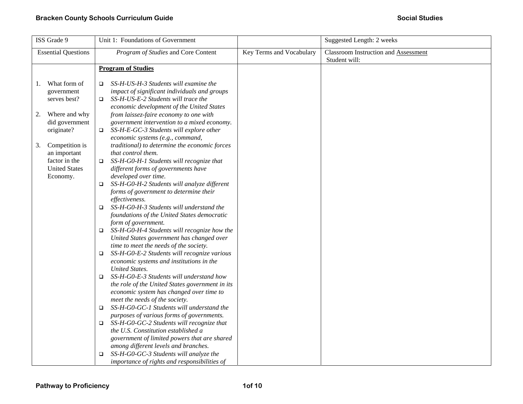| ISS Grade 9                                                                                                                                                                                          | Unit 1: Foundations of Government                                                                                                                                                                                                                                                                                                                                                                                                                                                                                                                                                                                                                                                                                                                                                                                                                                                                                                                                                                                                                                                                                                                                                                                                                                                                                                                                                                                                                                                                                                                                         |                          | Suggested Length: 2 weeks                             |
|------------------------------------------------------------------------------------------------------------------------------------------------------------------------------------------------------|---------------------------------------------------------------------------------------------------------------------------------------------------------------------------------------------------------------------------------------------------------------------------------------------------------------------------------------------------------------------------------------------------------------------------------------------------------------------------------------------------------------------------------------------------------------------------------------------------------------------------------------------------------------------------------------------------------------------------------------------------------------------------------------------------------------------------------------------------------------------------------------------------------------------------------------------------------------------------------------------------------------------------------------------------------------------------------------------------------------------------------------------------------------------------------------------------------------------------------------------------------------------------------------------------------------------------------------------------------------------------------------------------------------------------------------------------------------------------------------------------------------------------------------------------------------------------|--------------------------|-------------------------------------------------------|
| <b>Essential Questions</b>                                                                                                                                                                           | Program of Studies and Core Content                                                                                                                                                                                                                                                                                                                                                                                                                                                                                                                                                                                                                                                                                                                                                                                                                                                                                                                                                                                                                                                                                                                                                                                                                                                                                                                                                                                                                                                                                                                                       | Key Terms and Vocabulary | Classroom Instruction and Assessment<br>Student will: |
|                                                                                                                                                                                                      | <b>Program of Studies</b>                                                                                                                                                                                                                                                                                                                                                                                                                                                                                                                                                                                                                                                                                                                                                                                                                                                                                                                                                                                                                                                                                                                                                                                                                                                                                                                                                                                                                                                                                                                                                 |                          |                                                       |
| What form of<br>1.<br>government<br>serves best?<br>Where and why<br>2.<br>did government<br>originate?<br>Competition is<br>3.<br>an important<br>factor in the<br><b>United States</b><br>Economy. | SS-H-US-H-3 Students will examine the<br>$\Box$<br>impact of significant individuals and groups<br>SS-H-US-E-2 Students will trace the<br>O.<br>economic development of the United States<br>from laissez-faire economy to one with<br>government intervention to a mixed economy.<br>SS-H-E-GC-3 Students will explore other<br>$\Box$<br>economic systems (e.g., command,<br>traditional) to determine the economic forces<br>that control them.<br>SS-H-G0-H-1 Students will recognize that<br>$\Box$<br>different forms of governments have<br>developed over time.<br>SS-H-G0-H-2 Students will analyze different<br>$\Box$<br>forms of government to determine their<br>effectiveness.<br>SS-H-G0-H-3 Students will understand the<br>O.<br>foundations of the United States democratic<br>form of government.<br>$\square$ SS-H-G0-H-4 Students will recognize how the<br>United States government has changed over<br>time to meet the needs of the society.<br>SS-H-G0-E-2 Students will recognize various<br>economic systems and institutions in the<br><b>United States.</b><br>SS-H-G0-E-3 Students will understand how<br>$\Box$<br>the role of the United States government in its<br>economic system has changed over time to<br>meet the needs of the society.<br>SS-H-G0-GC-1 Students will understand the<br>$\Box$<br>purposes of various forms of governments.<br>SS-H-G0-GC-2 Students will recognize that<br>$\Box$<br>the U.S. Constitution established a<br>government of limited powers that are shared<br>among different levels and branches. |                          |                                                       |
|                                                                                                                                                                                                      | SS-H-G0-GC-3 Students will analyze the<br>□<br>importance of rights and responsibilities of                                                                                                                                                                                                                                                                                                                                                                                                                                                                                                                                                                                                                                                                                                                                                                                                                                                                                                                                                                                                                                                                                                                                                                                                                                                                                                                                                                                                                                                                               |                          |                                                       |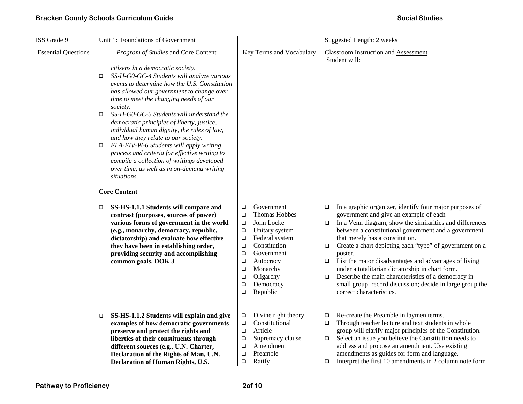| ISS Grade 9                | Unit 1: Foundations of Government                                                                                                                                                                                                                                                                                                                                                                                                                                                                                                                                                                                                                                 |                                                                                                                                                                                                                                                                                                    | Suggested Length: 2 weeks                                                                                                                                                                                                                                                                                                                                                                                                                                                                                                                                                                                                                     |
|----------------------------|-------------------------------------------------------------------------------------------------------------------------------------------------------------------------------------------------------------------------------------------------------------------------------------------------------------------------------------------------------------------------------------------------------------------------------------------------------------------------------------------------------------------------------------------------------------------------------------------------------------------------------------------------------------------|----------------------------------------------------------------------------------------------------------------------------------------------------------------------------------------------------------------------------------------------------------------------------------------------------|-----------------------------------------------------------------------------------------------------------------------------------------------------------------------------------------------------------------------------------------------------------------------------------------------------------------------------------------------------------------------------------------------------------------------------------------------------------------------------------------------------------------------------------------------------------------------------------------------------------------------------------------------|
| <b>Essential Questions</b> | Program of Studies and Core Content                                                                                                                                                                                                                                                                                                                                                                                                                                                                                                                                                                                                                               | Key Terms and Vocabulary                                                                                                                                                                                                                                                                           | <b>Classroom Instruction and Assessment</b><br>Student will:                                                                                                                                                                                                                                                                                                                                                                                                                                                                                                                                                                                  |
|                            | citizens in a democratic society.<br>SS-H-G0-GC-4 Students will analyze various<br>□<br>events to determine how the U.S. Constitution<br>has allowed our government to change over<br>time to meet the changing needs of our<br>society.<br>SS-H-G0-GC-5 Students will understand the<br>$\Box$<br>democratic principles of liberty, justice,<br>individual human dignity, the rules of law,<br>and how they relate to our society.<br>ELA-EIV-W-6 Students will apply writing<br>process and criteria for effective writing to<br>compile a collection of writings developed<br>over time, as well as in on-demand writing<br>situations.<br><b>Core Content</b> |                                                                                                                                                                                                                                                                                                    |                                                                                                                                                                                                                                                                                                                                                                                                                                                                                                                                                                                                                                               |
|                            | SS-HS-1.1.1 Students will compare and<br>❏<br>contrast (purposes, sources of power)<br>various forms of government in the world<br>(e.g., monarchy, democracy, republic,<br>dictatorship) and evaluate how effective<br>they have been in establishing order,<br>providing security and accomplishing<br>common goals. DOK 3                                                                                                                                                                                                                                                                                                                                      | Government<br>$\Box$<br>Thomas Hobbes<br>$\Box$<br>John Locke<br>$\Box$<br>Unitary system<br>$\Box$<br>Federal system<br>$\Box$<br>Constitution<br>$\Box$<br>Government<br>$\Box$<br>Autocracy<br>$\Box$<br>Monarchy<br>$\Box$<br>Oligarchy<br>$\Box$<br>Democracy<br>$\Box$<br>Republic<br>$\Box$ | In a graphic organizer, identify four major purposes of<br>$\Box$<br>government and give an example of each<br>In a Venn diagram, show the similarities and differences<br>$\Box$<br>between a constitutional government and a government<br>that merely has a constitution.<br>Create a chart depicting each "type" of government on a<br>$\Box$<br>poster.<br>List the major disadvantages and advantages of living<br>$\Box$<br>under a totalitarian dictatorship in chart form.<br>Describe the main characteristics of a democracy in<br>$\Box$<br>small group, record discussion; decide in large group the<br>correct characteristics. |
|                            | SS-HS-1.1.2 Students will explain and give<br>$\Box$<br>examples of how democratic governments<br>preserve and protect the rights and<br>liberties of their constituents through<br>different sources (e.g., U.N. Charter,<br>Declaration of the Rights of Man, U.N.<br>Declaration of Human Rights, U.S.                                                                                                                                                                                                                                                                                                                                                         | Divine right theory<br>$\Box$<br>Constitutional<br>$\Box$<br>Article<br>$\Box$<br>Supremacy clause<br>$\Box$<br>Amendment<br>$\Box$<br>Preamble<br>$\Box$<br>Ratify<br>$\Box$                                                                                                                      | Re-create the Preamble in laymen terms.<br>$\Box$<br>Through teacher lecture and text students in whole<br>$\Box$<br>group will clarify major principles of the Constitution.<br>Select an issue you believe the Constitution needs to<br>$\Box$<br>address and propose an amendment. Use existing<br>amendments as guides for form and language.<br>Interpret the first 10 amendments in 2 column note form<br>$\Box$                                                                                                                                                                                                                        |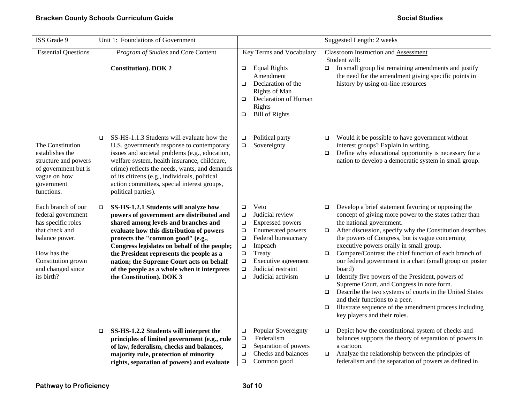| ISS Grade 9                                                                                                                                                                | Unit 1: Foundations of Government                                                                                                                                                                                                                                                                                                                                                                                                       |                                                                                                                                                                                                                                                                                                  | Suggested Length: 2 weeks                                                                                                                                                                                                                                                                                                                                                                                                                                                                                                                                                                                                                                                                                                                                                             |
|----------------------------------------------------------------------------------------------------------------------------------------------------------------------------|-----------------------------------------------------------------------------------------------------------------------------------------------------------------------------------------------------------------------------------------------------------------------------------------------------------------------------------------------------------------------------------------------------------------------------------------|--------------------------------------------------------------------------------------------------------------------------------------------------------------------------------------------------------------------------------------------------------------------------------------------------|---------------------------------------------------------------------------------------------------------------------------------------------------------------------------------------------------------------------------------------------------------------------------------------------------------------------------------------------------------------------------------------------------------------------------------------------------------------------------------------------------------------------------------------------------------------------------------------------------------------------------------------------------------------------------------------------------------------------------------------------------------------------------------------|
| <b>Essential Questions</b>                                                                                                                                                 | Program of Studies and Core Content                                                                                                                                                                                                                                                                                                                                                                                                     | Key Terms and Vocabulary                                                                                                                                                                                                                                                                         | <b>Classroom Instruction and Assessment</b><br>Student will:                                                                                                                                                                                                                                                                                                                                                                                                                                                                                                                                                                                                                                                                                                                          |
|                                                                                                                                                                            | <b>Constitution</b> ). DOK 2                                                                                                                                                                                                                                                                                                                                                                                                            | <b>Equal Rights</b><br>$\Box$<br>Amendment<br>Declaration of the<br>$\Box$<br>Rights of Man<br>Declaration of Human<br>$\Box$<br>Rights<br><b>Bill of Rights</b><br>$\Box$                                                                                                                       | In small group list remaining amendments and justify<br>$\Box$<br>the need for the amendment giving specific points in<br>history by using on-line resources                                                                                                                                                                                                                                                                                                                                                                                                                                                                                                                                                                                                                          |
| The Constitution<br>establishes the<br>structure and powers<br>of government but is<br>vague on how<br>government<br>functions.                                            | SS-HS-1.1.3 Students will evaluate how the<br>$\Box$<br>U.S. government's response to contemporary<br>issues and societal problems (e.g., education,<br>welfare system, health insurance, childcare,<br>crime) reflects the needs, wants, and demands<br>of its citizens (e.g., individuals, political<br>action committees, special interest groups,<br>political parties).                                                            | Political party<br>$\Box$<br>Sovereignty<br>$\Box$                                                                                                                                                                                                                                               | Would it be possible to have government without<br>❏<br>interest groups? Explain in writing.<br>Define why educational opportunity is necessary for a<br>$\Box$<br>nation to develop a democratic system in small group.                                                                                                                                                                                                                                                                                                                                                                                                                                                                                                                                                              |
| Each branch of our<br>federal government<br>has specific roles<br>that check and<br>balance power.<br>How has the<br>Constitution grown<br>and changed since<br>its birth? | SS-HS-1.2.1 Students will analyze how<br>$\Box$<br>powers of government are distributed and<br>shared among levels and branches and<br>evaluate how this distribution of powers<br>protects the "common good" (e.g.,<br>Congress legislates on behalf of the people;<br>the President represents the people as a<br>nation; the Supreme Court acts on behalf<br>of the people as a whole when it interprets<br>the Constitution). DOK 3 | Veto<br>$\Box$<br>Judicial review<br>$\Box$<br><b>Expressed powers</b><br>$\Box$<br><b>Enumerated powers</b><br>$\Box$<br>Federal bureaucracy<br>$\Box$<br>Impeach<br>$\Box$<br>Treaty<br>$\Box$<br>Executive agreement<br>$\Box$<br>Judicial restraint<br>$\Box$<br>Judicial activism<br>$\Box$ | Develop a brief statement favoring or opposing the<br>$\Box$<br>concept of giving more power to the states rather than<br>the national government.<br>After discussion, specify why the Constitution describes<br>$\Box$<br>the powers of Congress, but is vague concerning<br>executive powers orally in small group.<br>Compare/Contrast the chief function of each branch of<br>$\Box$<br>our federal government in a chart (small group on poster<br>board)<br>Identify five powers of the President, powers of<br>$\Box$<br>Supreme Court, and Congress in note form.<br>Describe the two systems of courts in the United States<br>$\Box$<br>and their functions to a peer.<br>Illustrate sequence of the amendment process including<br>$\Box$<br>key players and their roles. |
|                                                                                                                                                                            | SS-HS-1.2.2 Students will interpret the<br>$\Box$<br>principles of limited government (e.g., rule<br>of law, federalism, checks and balances,<br>majority rule, protection of minority<br>rights, separation of powers) and evaluate                                                                                                                                                                                                    | <b>Popular Sovereignty</b><br>$\Box$<br>Federalism<br>$\Box$<br>Separation of powers<br>$\Box$<br>Checks and balances<br>$\Box$<br>Common good<br>$\Box$                                                                                                                                         | Depict how the constitutional system of checks and<br>$\Box$<br>balances supports the theory of separation of powers in<br>a cartoon.<br>Analyze the relationship between the principles of<br>$\Box$<br>federalism and the separation of powers as defined in                                                                                                                                                                                                                                                                                                                                                                                                                                                                                                                        |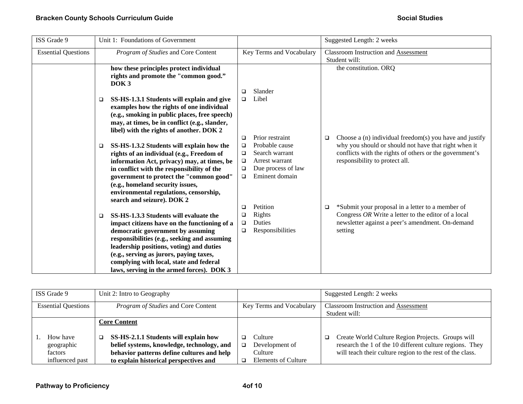| ISS Grade 9                |        | Unit 1: Foundations of Government                                                                    |        |                          |   | Suggested Length: 2 weeks                               |
|----------------------------|--------|------------------------------------------------------------------------------------------------------|--------|--------------------------|---|---------------------------------------------------------|
| <b>Essential Questions</b> |        | Program of Studies and Core Content                                                                  |        | Key Terms and Vocabulary |   | <b>Classroom Instruction and Assessment</b>             |
|                            |        |                                                                                                      |        |                          |   | Student will:                                           |
|                            |        | how these principles protect individual<br>rights and promote the "common good."<br>DOK <sub>3</sub> |        |                          |   | the constitution. ORQ                                   |
|                            |        |                                                                                                      | □      | Slander                  |   |                                                         |
|                            | □      | SS-HS-1.3.1 Students will explain and give                                                           | $\Box$ | Libel                    |   |                                                         |
|                            |        | examples how the rights of one individual                                                            |        |                          |   |                                                         |
|                            |        | (e.g., smoking in public places, free speech)                                                        |        |                          |   |                                                         |
|                            |        | may, at times, be in conflict (e.g., slander,                                                        |        |                          |   |                                                         |
|                            |        | libel) with the rights of another. DOK 2                                                             |        |                          |   |                                                         |
|                            |        |                                                                                                      | □      | Prior restraint          | □ | Choose a (n) individual freedom(s) you have and justify |
|                            | $\Box$ | SS-HS-1.3.2 Students will explain how the                                                            | $\Box$ | Probable cause           |   | why you should or should not have that right when it    |
|                            |        | rights of an individual (e.g., Freedom of                                                            | $\Box$ | Search warrant           |   | conflicts with the rights of others or the government's |
|                            |        | information Act, privacy) may, at times, be                                                          | $\Box$ | Arrest warrant           |   | responsibility to protect all.                          |
|                            |        | in conflict with the responsibility of the                                                           | $\Box$ | Due process of law       |   |                                                         |
|                            |        | government to protect the "common good"                                                              | $\Box$ | Eminent domain           |   |                                                         |
|                            |        | (e.g., homeland security issues,                                                                     |        |                          |   |                                                         |
|                            |        | environmental regulations, censorship,                                                               |        |                          |   |                                                         |
|                            |        | search and seizure). DOK 2                                                                           |        | Petition                 |   | *Submit your proposal in a letter to a member of        |
|                            |        | SS-HS-1.3.3 Students will evaluate the                                                               | □<br>□ | Rights                   | □ | Congress OR Write a letter to the editor of a local     |
|                            | $\Box$ | impact citizens have on the functioning of a                                                         | $\Box$ | Duties                   |   | newsletter against a peer's amendment. On-demand        |
|                            |        | democratic government by assuming                                                                    | □      | Responsibilities         |   | setting                                                 |
|                            |        | responsibilities (e.g., seeking and assuming                                                         |        |                          |   |                                                         |
|                            |        | leadership positions, voting) and duties                                                             |        |                          |   |                                                         |
|                            |        | (e.g., serving as jurors, paying taxes,                                                              |        |                          |   |                                                         |
|                            |        | complying with local, state and federal                                                              |        |                          |   |                                                         |
|                            |        | laws, serving in the armed forces). DOK 3                                                            |        |                          |   |                                                         |

| ISS Grade 9                | Unit 2: Intro to Geography                 |                          | Suggested Length: 2 weeks                                 |
|----------------------------|--------------------------------------------|--------------------------|-----------------------------------------------------------|
| <b>Essential Questions</b> | <i>Program of Studies</i> and Core Content | Key Terms and Vocabulary | <b>Classroom Instruction and Assessment</b>               |
|                            |                                            |                          | Student will:                                             |
|                            | <b>Core Content</b>                        |                          |                                                           |
| How have                   | SS-HS-2.1.1 Students will explain how      | Culture                  | Create World Culture Region Projects. Groups will<br>o.   |
| geographic                 | belief systems, knowledge, technology, and | Development of<br>□      | research the 1 of the 10 different culture regions. They  |
| factors                    | behavior patterns define cultures and help | Culture                  | will teach their culture region to the rest of the class. |
| influenced past            | to explain historical perspectives and     | Elements of Culture      |                                                           |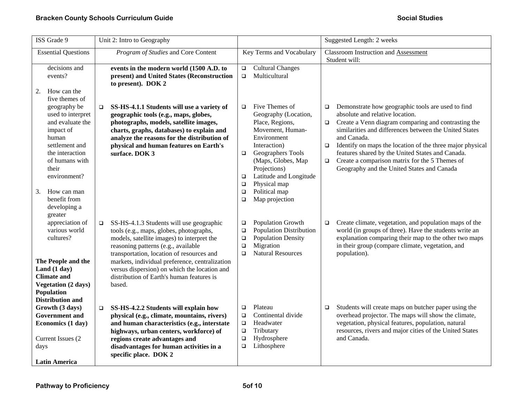| ISS Grade 9                                                                                                                                                                                                                                   | Unit 2: Intro to Geography                                                                                                                                                                                                                                                                                                                                                               |                                                                                                                                                                                                                                                                                                                  | Suggested Length: 2 weeks                                                                                                                                                                                                                                                                                                                                                                                                                                                     |
|-----------------------------------------------------------------------------------------------------------------------------------------------------------------------------------------------------------------------------------------------|------------------------------------------------------------------------------------------------------------------------------------------------------------------------------------------------------------------------------------------------------------------------------------------------------------------------------------------------------------------------------------------|------------------------------------------------------------------------------------------------------------------------------------------------------------------------------------------------------------------------------------------------------------------------------------------------------------------|-------------------------------------------------------------------------------------------------------------------------------------------------------------------------------------------------------------------------------------------------------------------------------------------------------------------------------------------------------------------------------------------------------------------------------------------------------------------------------|
| <b>Essential Questions</b>                                                                                                                                                                                                                    | Program of Studies and Core Content                                                                                                                                                                                                                                                                                                                                                      | Key Terms and Vocabulary                                                                                                                                                                                                                                                                                         | <b>Classroom Instruction and Assessment</b><br>Student will:                                                                                                                                                                                                                                                                                                                                                                                                                  |
| decisions and<br>events?<br>How can the<br>2.                                                                                                                                                                                                 | events in the modern world (1500 A.D. to<br>present) and United States (Reconstruction<br>to present). DOK 2                                                                                                                                                                                                                                                                             | <b>Cultural Changes</b><br>$\Box$<br>Multicultural<br>$\Box$                                                                                                                                                                                                                                                     |                                                                                                                                                                                                                                                                                                                                                                                                                                                                               |
| five themes of<br>geography be<br>used to interpret<br>and evaluate the<br>impact of<br>human<br>settlement and<br>the interaction<br>of humans with<br>their<br>environment?<br>How can man<br>3.<br>benefit from<br>developing a<br>greater | SS-HS-4.1.1 Students will use a variety of<br>$\Box$<br>geographic tools (e.g., maps, globes,<br>photographs, models, satellite images,<br>charts, graphs, databases) to explain and<br>analyze the reasons for the distribution of<br>physical and human features on Earth's<br>surface. DOK 3                                                                                          | Five Themes of<br>$\Box$<br>Geography (Location,<br>Place, Regions,<br>Movement, Human-<br>Environment<br>Interaction)<br>Geographers Tools<br>$\Box$<br>(Maps, Globes, Map<br>Projections)<br>Latitude and Longitude<br>$\Box$<br>Physical map<br>$\Box$<br>Political map<br>$\Box$<br>Map projection<br>$\Box$ | Demonstrate how geographic tools are used to find<br>$\Box$<br>absolute and relative location.<br>Create a Venn diagram comparing and contrasting the<br>$\Box$<br>similarities and differences between the United States<br>and Canada.<br>Identify on maps the location of the three major physical<br>$\Box$<br>features shared by the United States and Canada.<br>Create a comparison matrix for the 5 Themes of<br>$\Box$<br>Geography and the United States and Canada |
| appreciation of<br>various world<br>cultures?<br>The People and the<br>Land (1 day)<br><b>Climate and</b><br><b>Vegetation (2 days)</b><br>Population<br><b>Distribution and</b>                                                              | SS-HS-4.1.3 Students will use geographic<br>$\Box$<br>tools (e.g., maps, globes, photographs,<br>models, satellite images) to interpret the<br>reasoning patterns (e.g., available<br>transportation, location of resources and<br>markets, individual preference, centralization<br>versus dispersion) on which the location and<br>distribution of Earth's human features is<br>based. | Population Growth<br>$\Box$<br><b>Population Distribution</b><br>$\Box$<br>Population Density<br>$\Box$<br>Migration<br>$\Box$<br><b>Natural Resources</b><br>$\Box$                                                                                                                                             | Create climate, vegetation, and population maps of the<br>$\Box$<br>world (in groups of three). Have the students write an<br>explanation comparing their map to the other two maps<br>in their group (compare climate, vegetation, and<br>population).                                                                                                                                                                                                                       |
| Growth (3 days)<br><b>Government</b> and<br>Economics (1 day)<br>Current Issues (2<br>days<br><b>Latin America</b>                                                                                                                            | SS-HS-4.2.2 Students will explain how<br>$\Box$<br>physical (e.g., climate, mountains, rivers)<br>and human characteristics (e.g., interstate<br>highways, urban centers, workforce) of<br>regions create advantages and<br>disadvantages for human activities in a<br>specific place. DOK 2                                                                                             | Plateau<br>$\Box$<br>Continental divide<br>$\Box$<br>$\Box$<br>Headwater<br>Tributary<br>$\Box$<br>$\Box$<br>Hydrosphere<br>Lithosphere<br>$\Box$                                                                                                                                                                | Students will create maps on butcher paper using the<br>$\Box$<br>overhead projector. The maps will show the climate,<br>vegetation, physical features, population, natural<br>resources, rivers and major cities of the United States<br>and Canada.                                                                                                                                                                                                                         |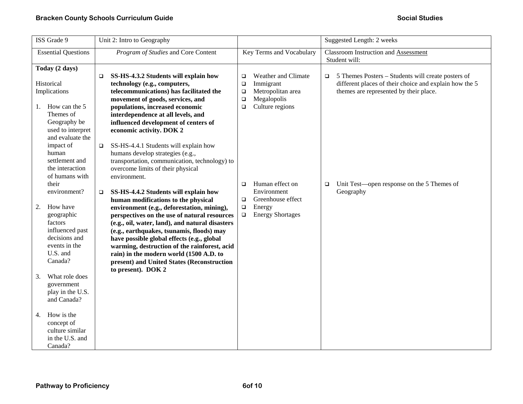| ISS Grade 9                                                                                                                         | Unit 2: Intro to Geography                                                                                                                                                                                                                                                                                                                                                                                                                                                                   |                                                                                                              | Suggested Length: 2 weeks                                                                                                                                   |
|-------------------------------------------------------------------------------------------------------------------------------------|----------------------------------------------------------------------------------------------------------------------------------------------------------------------------------------------------------------------------------------------------------------------------------------------------------------------------------------------------------------------------------------------------------------------------------------------------------------------------------------------|--------------------------------------------------------------------------------------------------------------|-------------------------------------------------------------------------------------------------------------------------------------------------------------|
| <b>Essential Questions</b>                                                                                                          | Program of Studies and Core Content                                                                                                                                                                                                                                                                                                                                                                                                                                                          | Key Terms and Vocabulary                                                                                     | Classroom Instruction and Assessment<br>Student will:                                                                                                       |
| Today (2 days)                                                                                                                      |                                                                                                                                                                                                                                                                                                                                                                                                                                                                                              |                                                                                                              |                                                                                                                                                             |
| Historical<br>Implications                                                                                                          | SS-HS-4.3.2 Students will explain how<br>□<br>technology (e.g., computers,<br>telecommunications) has facilitated the<br>movement of goods, services, and                                                                                                                                                                                                                                                                                                                                    | Weather and Climate<br>$\Box$<br>Immigrant<br>$\Box$<br>Metropolitan area<br>$\Box$<br>Megalopolis<br>$\Box$ | 5 Themes Posters – Students will create posters of<br>□<br>different places of their choice and explain how the 5<br>themes are represented by their place. |
| How can the 5<br>1.<br>Themes of<br>Geography be<br>used to interpret<br>and evaluate the<br>impact of                              | populations, increased economic<br>interdependence at all levels, and<br>influenced development of centers of<br>economic activity. DOK 2<br>SS-HS-4.4.1 Students will explain how<br>$\Box$                                                                                                                                                                                                                                                                                                 | Culture regions<br>$\Box$                                                                                    |                                                                                                                                                             |
| human<br>settlement and<br>the interaction<br>of humans with<br>their                                                               | humans develop strategies (e.g.,<br>transportation, communication, technology) to<br>overcome limits of their physical<br>environment.                                                                                                                                                                                                                                                                                                                                                       | Human effect on<br>$\Box$                                                                                    | Unit Test—open response on the 5 Themes of<br>$\Box$                                                                                                        |
| environment?<br>How have<br>2.<br>geographic<br>factors<br>influenced past<br>decisions and<br>events in the<br>U.S. and<br>Canada? | SS-HS-4.4.2 Students will explain how<br>□<br>human modifications to the physical<br>environment (e.g., deforestation, mining),<br>perspectives on the use of natural resources<br>(e.g., oil, water, land), and natural disasters<br>(e.g., earthquakes, tsunamis, floods) may<br>have possible global effects (e.g., global<br>warming, destruction of the rainforest, acid<br>rain) in the modern world (1500 A.D. to<br>present) and United States (Reconstruction<br>to present). DOK 2 | Environment<br>Greenhouse effect<br>$\Box$<br>$\Box$<br>Energy<br><b>Energy Shortages</b><br>$\Box$          | Geography                                                                                                                                                   |
| What role does<br>3.<br>government<br>play in the U.S.<br>and Canada?                                                               |                                                                                                                                                                                                                                                                                                                                                                                                                                                                                              |                                                                                                              |                                                                                                                                                             |
| How is the<br>4.<br>concept of<br>culture similar<br>in the U.S. and<br>Canada?                                                     |                                                                                                                                                                                                                                                                                                                                                                                                                                                                                              |                                                                                                              |                                                                                                                                                             |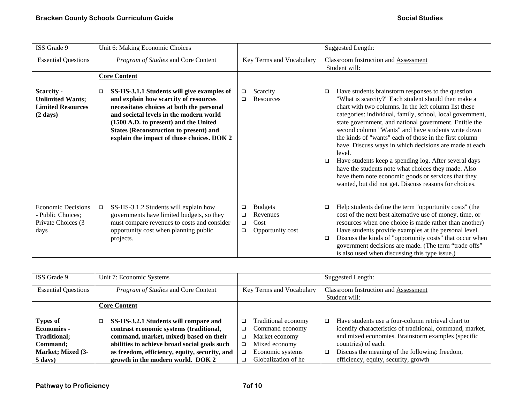| ISS Grade 9                                                                               | Unit 6: Making Economic Choices                                                                                                                                                                                                                                                                                                                 |                                                                                      | <b>Suggested Length:</b>                                                                                                                                                                                                                                                                                                                                                                                                                                                                                                                                                                                                                                                                                                |
|-------------------------------------------------------------------------------------------|-------------------------------------------------------------------------------------------------------------------------------------------------------------------------------------------------------------------------------------------------------------------------------------------------------------------------------------------------|--------------------------------------------------------------------------------------|-------------------------------------------------------------------------------------------------------------------------------------------------------------------------------------------------------------------------------------------------------------------------------------------------------------------------------------------------------------------------------------------------------------------------------------------------------------------------------------------------------------------------------------------------------------------------------------------------------------------------------------------------------------------------------------------------------------------------|
| <b>Essential Questions</b>                                                                | Program of Studies and Core Content                                                                                                                                                                                                                                                                                                             | Key Terms and Vocabulary                                                             | <b>Classroom Instruction and Assessment</b><br>Student will:                                                                                                                                                                                                                                                                                                                                                                                                                                                                                                                                                                                                                                                            |
| <b>Scarcity -</b><br><b>Unlimited Wants;</b><br><b>Limited Resources</b><br>$(2 \; days)$ | <b>Core Content</b><br>SS-HS-3.1.1 Students will give examples of<br>□<br>and explain how scarcity of resources<br>necessitates choices at both the personal<br>and societal levels in the modern world<br>(1500 A.D. to present) and the United<br><b>States (Reconstruction to present) and</b><br>explain the impact of those choices. DOK 2 | Scarcity<br>$\Box$<br><b>Resources</b><br>□                                          | Have students brainstorm responses to the question<br>□<br>"What is scarcity?" Each student should then make a<br>chart with two columns. In the left column list these<br>categories: individual, family, school, local government,<br>state government, and national government. Entitle the<br>second column "Wants" and have students write down<br>the kinds of "wants" each of those in the first column<br>have. Discuss ways in which decisions are made at each<br>level.<br>Have students keep a spending log. After several days<br>□<br>have the students note what choices they made. Also<br>have them note economic goods or services that they<br>wanted, but did not get. Discuss reasons for choices. |
| <b>Economic Decisions</b><br>- Public Choices;<br>Private Choices (3<br>days              | SS-HS-3.1.2 Students will explain how<br>$\Box$<br>governments have limited budgets, so they<br>must compare revenues to costs and consider<br>opportunity cost when planning public<br>projects.                                                                                                                                               | <b>Budgets</b><br>❏<br>Revenues<br>❏<br>Cost<br>$\Box$<br>Opportunity cost<br>$\Box$ | Help students define the term "opportunity costs" (the<br>$\Box$<br>cost of the next best alternative use of money, time, or<br>resources when one choice is made rather than another)<br>Have students provide examples at the personal level.<br>Discuss the kinds of "opportunity costs" that occur when<br>□<br>government decisions are made. (The term "trade offs"<br>is also used when discussing this type issue.)                                                                                                                                                                                                                                                                                             |

| ISS Grade 9                | Unit 7: Economic Systems                      |                          | Suggested Length:                                            |
|----------------------------|-----------------------------------------------|--------------------------|--------------------------------------------------------------|
| <b>Essential Questions</b> | Program of Studies and Core Content           | Key Terms and Vocabulary | <b>Classroom Instruction and Assessment</b><br>Student will: |
|                            | <b>Core Content</b>                           |                          |                                                              |
| Types of                   | SS-HS-3.2.1 Students will compare and<br>□    | Traditional economy<br>❏ | Have students use a four-column retrieval chart to<br>□      |
| <b>Economies -</b>         | contrast economic systems (traditional,       | Command economy<br>◻     | identify characteristics of traditional, command, market,    |
| <b>Traditional;</b>        | command, market, mixed) based on their        | Market economy<br>◻      | and mixed economies. Brainstorm examples (specific           |
| Command;                   | abilities to achieve broad social goals such  | Mixed economy<br>❏       | countries) of each.                                          |
| Market; Mixed (3-          | as freedom, efficiency, equity, security, and | Economic systems<br>□    | Discuss the meaning of the following: freedom,<br>□          |
| 5 days)                    | growth in the modern world. DOK 2             | Globalization of he<br>◻ | efficiency, equity, security, growth                         |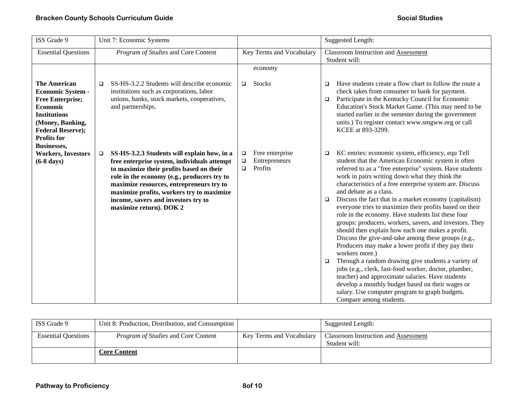| ISS Grade 9                                                                                                                                                                                               | Unit 7: Economic Systems                                                                                                                                                                                                                                                                                                                                   |                                                                      | <b>Suggested Length:</b>                                                                                                                                                                                                                                                                                                                                                                                                                                                                                                                                                                                                                                                                                                                                                                                                                                                                                                                                                                                                                                                 |
|-----------------------------------------------------------------------------------------------------------------------------------------------------------------------------------------------------------|------------------------------------------------------------------------------------------------------------------------------------------------------------------------------------------------------------------------------------------------------------------------------------------------------------------------------------------------------------|----------------------------------------------------------------------|--------------------------------------------------------------------------------------------------------------------------------------------------------------------------------------------------------------------------------------------------------------------------------------------------------------------------------------------------------------------------------------------------------------------------------------------------------------------------------------------------------------------------------------------------------------------------------------------------------------------------------------------------------------------------------------------------------------------------------------------------------------------------------------------------------------------------------------------------------------------------------------------------------------------------------------------------------------------------------------------------------------------------------------------------------------------------|
| <b>Essential Questions</b>                                                                                                                                                                                | Program of Studies and Core Content                                                                                                                                                                                                                                                                                                                        | Key Terms and Vocabulary                                             | <b>Classroom Instruction and Assessment</b><br>Student will:                                                                                                                                                                                                                                                                                                                                                                                                                                                                                                                                                                                                                                                                                                                                                                                                                                                                                                                                                                                                             |
| <b>The American</b><br><b>Economic System -</b><br><b>Free Enterprise;</b><br>Economic<br><b>Institutions</b><br>(Money, Banking,<br><b>Federal Reserve);</b><br><b>Profits for</b><br><b>Businesses,</b> | SS-HS-3.2.2 Students will describe economic<br>□<br>institutions such as corporations, labor<br>unions, banks, stock markets, cooperatives,<br>and partnerships.                                                                                                                                                                                           | economy<br><b>Stocks</b><br>$\Box$                                   | Have students create a flow chart to follow the route a<br>$\Box$<br>check takes from consumer to bank for payment.<br>Participate in the Kentucky Council for Economic<br>$\Box$<br>Education's Stock Market Game. (This may need to be<br>started earlier in the semester during the government<br>units.) To register contact www.smgww.org or call<br>KCEE at 893-3299.                                                                                                                                                                                                                                                                                                                                                                                                                                                                                                                                                                                                                                                                                              |
| <b>Workers, Investors</b><br>$(6-8 \text{ days})$                                                                                                                                                         | SS-HS-3.2.3 Students will explain how, in a<br>$\Box$<br>free enterprise system, individuals attempt<br>to maximize their profits based on their<br>role in the economy (e.g., producers try to<br>maximize resources, entrepreneurs try to<br>maximize profits, workers try to maximize<br>income, savers and investors try to<br>maximize return). DOK 2 | Free enterprise<br>$\Box$<br>Entrepreneurs<br>$\Box$<br>Profits<br>▫ | KC entries: economic system, efficiency, equ Tell<br>$\Box$<br>student that the American Economic system is often<br>referred to as a "free enterprise" system. Have students<br>work in pairs writing down what they think the<br>characteristics of a free enterprise system are. Discuss<br>and debate as a class.<br>Discuss the fact that in a market economy (capitalism)<br>$\Box$<br>everyone tries to maximize their profits based on their<br>role in the economy. Have students list these four<br>groups: producers, workers, savers, and investors. They<br>should then explain how each one makes a profit.<br>Discuss the give-and-take among these groups (e.g.,<br>Producers may make a lower profit if they pay their<br>workers more.)<br>Through a random drawing give students a variety of<br>$\Box$<br>jobs (e.g., clerk, fast-food worker, doctor, plumber,<br>teacher) and approximate salaries. Have students<br>develop a monthly budget based on their wages or<br>salary. Use computer program to graph budgets.<br>Compare among students. |

| ISS Grade 9                | Unit 8: Production, Distribution, and Consumption |                          | Suggested Length:                                     |
|----------------------------|---------------------------------------------------|--------------------------|-------------------------------------------------------|
| <b>Essential Ouestions</b> | <i>Program of Studies</i> and Core Content        | Key Terms and Vocabulary | Classroom Instruction and Assessment<br>Student will: |
|                            | Core Content                                      |                          |                                                       |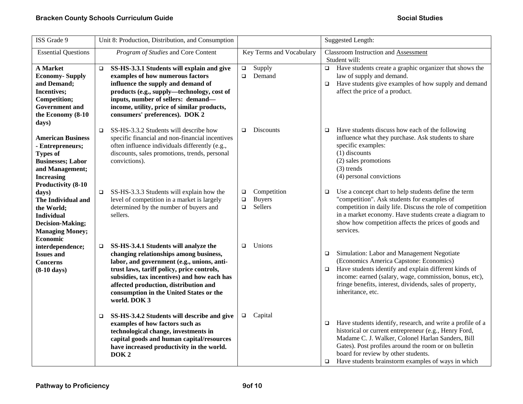| ISS Grade 9                                                                                                                                                       | Unit 8: Production, Distribution, and Consumption                                                                                                                                                                                                                                                                                        |                                                                       | <b>Suggested Length:</b>                                                                                                                                                                                                                                                                                                                          |
|-------------------------------------------------------------------------------------------------------------------------------------------------------------------|------------------------------------------------------------------------------------------------------------------------------------------------------------------------------------------------------------------------------------------------------------------------------------------------------------------------------------------|-----------------------------------------------------------------------|---------------------------------------------------------------------------------------------------------------------------------------------------------------------------------------------------------------------------------------------------------------------------------------------------------------------------------------------------|
| <b>Essential Questions</b>                                                                                                                                        | Program of Studies and Core Content                                                                                                                                                                                                                                                                                                      | Key Terms and Vocabulary                                              | <b>Classroom Instruction and Assessment</b><br>Student will:                                                                                                                                                                                                                                                                                      |
| <b>A</b> Market<br><b>Economy-Supply</b><br>and Demand;<br>Incentives;<br>Competition;<br><b>Government</b> and<br>the Economy (8-10<br>days)                     | SS-HS-3.3.1 Students will explain and give<br>$\Box$<br>examples of how numerous factors<br>influence the supply and demand of<br>products (e.g., supply-technology, cost of<br>inputs, number of sellers: demand-<br>income, utility, price of similar products,<br>consumers' preferences). DOK 2                                      | Supply<br>$\Box$<br>Demand<br>$\Box$                                  | Have students create a graphic organizer that shows the<br>$\Box$<br>law of supply and demand.<br>Have students give examples of how supply and demand<br>$\Box$<br>affect the price of a product.                                                                                                                                                |
| <b>American Business</b><br>- Entrepreneurs;<br><b>Types of</b><br><b>Businesses; Labor</b><br>and Management;<br><b>Increasing</b><br><b>Productivity (8-10)</b> | SS-HS-3.3.2 Students will describe how<br>$\Box$<br>specific financial and non-financial incentives<br>often influence individuals differently (e.g.,<br>discounts, sales promotions, trends, personal<br>convictions).                                                                                                                  | <b>Discounts</b><br>$\Box$                                            | Have students discuss how each of the following<br>$\Box$<br>influence what they purchase. Ask students to share<br>specific examples:<br>$(1)$ discounts<br>(2) sales promotions<br>$(3)$ trends<br>(4) personal convictions                                                                                                                     |
| days)<br>The Individual and<br>the World;<br><b>Individual</b><br><b>Decision-Making;</b><br><b>Managing Money;</b><br><b>Economic</b>                            | SS-HS-3.3.3 Students will explain how the<br>$\Box$<br>level of competition in a market is largely<br>determined by the number of buyers and<br>sellers.                                                                                                                                                                                 | Competition<br>$\Box$<br><b>Buyers</b><br>$\Box$<br>Sellers<br>$\Box$ | Use a concept chart to help students define the term<br>$\Box$<br>"competition". Ask students for examples of<br>competition in daily life. Discuss the role of competition<br>in a market economy. Have students create a diagram to<br>show how competition affects the prices of goods and<br>services.                                        |
| interdependence;<br><b>Issues and</b><br><b>Concerns</b><br>$(8-10 \text{ days})$                                                                                 | SS-HS-3.4.1 Students will analyze the<br>$\Box$<br>changing relationships among business,<br>labor, and government (e.g., unions, anti-<br>trust laws, tariff policy, price controls,<br>subsidies, tax incentives) and how each has<br>affected production, distribution and<br>consumption in the United States or the<br>world. DOK 3 | Unions<br>$\Box$                                                      | Simulation: Labor and Management Negotiate<br>$\Box$<br>(Economics America Capstone: Economics)<br>Have students identify and explain different kinds of<br>$\Box$<br>income: earned (salary, wage, commission, bonus, etc),<br>fringe benefits, interest, dividends, sales of property,<br>inheritance, etc.                                     |
|                                                                                                                                                                   | SS-HS-3.4.2 Students will describe and give<br>$\Box$<br>examples of how factors such as<br>technological change, investments in<br>capital goods and human capital/resources<br>have increased productivity in the world.<br>DOK <sub>2</sub>                                                                                           | Capital<br>$\Box$                                                     | Have students identify, research, and write a profile of a<br>$\Box$<br>historical or current entrepreneur (e.g., Henry Ford,<br>Madame C. J. Walker, Colonel Harlan Sanders, Bill<br>Gates). Post profiles around the room or on bulletin<br>board for review by other students.<br>Have students brainstorm examples of ways in which<br>$\Box$ |